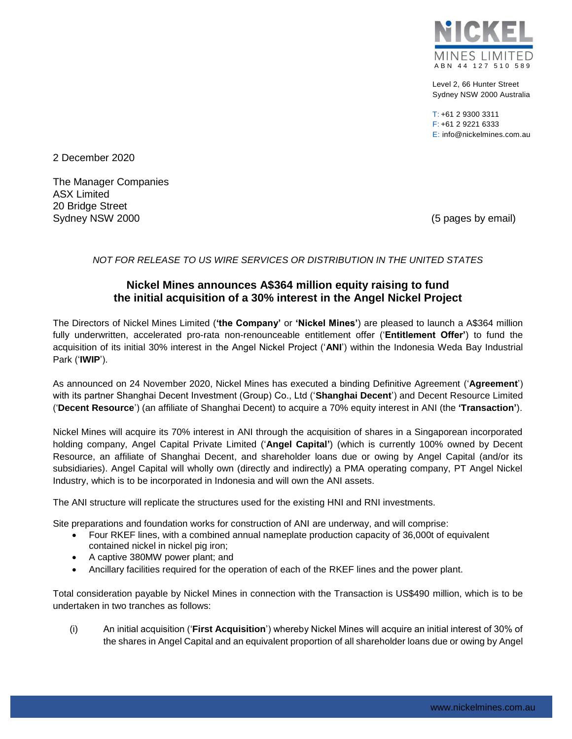

Level 2, 66 Hunter Street Sydney NSW 2000 Australia

 $T: +61$  2 9300 3311 F: +61 2 9221 6333 E: info@nickelmines.com.au

2 December 2020

The Manager Companies ASX Limited 20 Bridge Street Sydney NSW 2000 (5 pages by email)

# *NOT FOR RELEASE TO US WIRE SERVICES OR DISTRIBUTION IN THE UNITED STATES*

# **Nickel Mines announces A\$364 million equity raising to fund the initial acquisition of a 30% interest in the Angel Nickel Project**

The Directors of Nickel Mines Limited (**'the Company'** or **'Nickel Mines'**) are pleased to launch a A\$364 million fully underwritten, accelerated pro-rata non-renounceable entitlement offer ('**Entitlement Offer'**) to fund the acquisition of its initial 30% interest in the Angel Nickel Project ('**ANI**') within the Indonesia Weda Bay Industrial Park ('**IWIP**').

As announced on 24 November 2020, Nickel Mines has executed a binding Definitive Agreement ('**Agreement**') with its partner Shanghai Decent Investment (Group) Co., Ltd ('**Shanghai Decent**') and Decent Resource Limited ('**Decent Resource**') (an affiliate of Shanghai Decent) to acquire a 70% equity interest in ANI (the **'Transaction'**).

Nickel Mines will acquire its 70% interest in ANI through the acquisition of shares in a Singaporean incorporated holding company, Angel Capital Private Limited ('**Angel Capital'**) (which is currently 100% owned by Decent Resource, an affiliate of Shanghai Decent, and shareholder loans due or owing by Angel Capital (and/or its subsidiaries). Angel Capital will wholly own (directly and indirectly) a PMA operating company, PT Angel Nickel Industry, which is to be incorporated in Indonesia and will own the ANI assets.

The ANI structure will replicate the structures used for the existing HNI and RNI investments.

Site preparations and foundation works for construction of ANI are underway, and will comprise:

- Four RKEF lines, with a combined annual nameplate production capacity of 36,000t of equivalent contained nickel in nickel pig iron;
- A captive 380MW power plant; and
- Ancillary facilities required for the operation of each of the RKEF lines and the power plant.

Total consideration payable by Nickel Mines in connection with the Transaction is US\$490 million, which is to be undertaken in two tranches as follows:

(i) An initial acquisition ('**First Acquisition**') whereby Nickel Mines will acquire an initial interest of 30% of the shares in Angel Capital and an equivalent proportion of all shareholder loans due or owing by Angel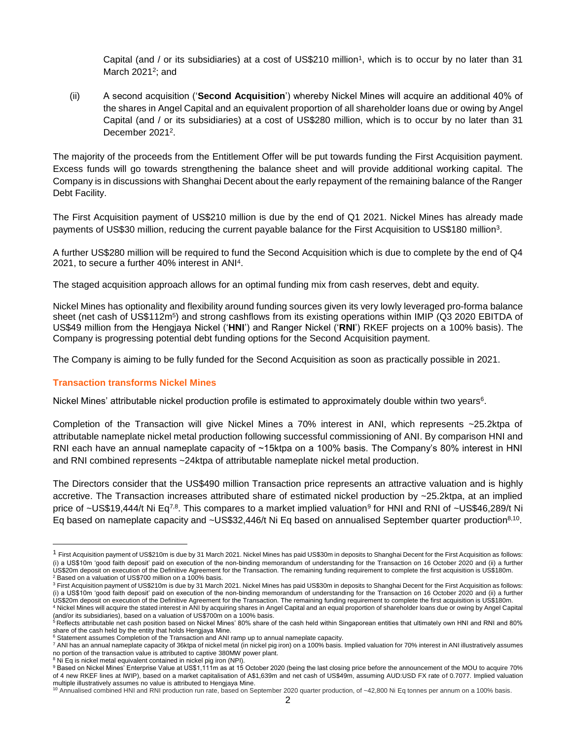Capital (and / or its subsidiaries) at a cost of US\$210 million<sup>1</sup>, which is to occur by no later than 31 March 2021<sup>2</sup>; and

(ii) A second acquisition ('**Second Acquisition**') whereby Nickel Mines will acquire an additional 40% of the shares in Angel Capital and an equivalent proportion of all shareholder loans due or owing by Angel Capital (and / or its subsidiaries) at a cost of US\$280 million, which is to occur by no later than 31 December 2021<sup>2</sup>.

The majority of the proceeds from the Entitlement Offer will be put towards funding the First Acquisition payment. Excess funds will go towards strengthening the balance sheet and will provide additional working capital. The Company is in discussions with Shanghai Decent about the early repayment of the remaining balance of the Ranger Debt Facility.

The First Acquisition payment of US\$210 million is due by the end of Q1 2021. Nickel Mines has already made payments of US\$30 million, reducing the current payable balance for the First Acquisition to US\$180 million<sup>3</sup> .

A further US\$280 million will be required to fund the Second Acquisition which is due to complete by the end of Q4 2021, to secure a further 40% interest in ANI<sup>4</sup> .

The staged acquisition approach allows for an optimal funding mix from cash reserves, debt and equity.

Nickel Mines has optionality and flexibility around funding sources given its very lowly leveraged pro-forma balance sheet (net cash of US\$112m<sup>5</sup>) and strong cashflows from its existing operations within IMIP (Q3 2020 EBITDA of US\$49 million from the Hengjaya Nickel ('**HNI**') and Ranger Nickel ('**RNI**') RKEF projects on a 100% basis). The Company is progressing potential debt funding options for the Second Acquisition payment.

The Company is aiming to be fully funded for the Second Acquisition as soon as practically possible in 2021.

# **Transaction transforms Nickel Mines**

l

Nickel Mines' attributable nickel production profile is estimated to approximately double within two years<sup>6</sup>.

Completion of the Transaction will give Nickel Mines a 70% interest in ANI, which represents ~25.2ktpa of attributable nameplate nickel metal production following successful commissioning of ANI. By comparison HNI and RNI each have an annual nameplate capacity of ~15ktpa on a 100% basis. The Company's 80% interest in HNI and RNI combined represents ~24ktpa of attributable nameplate nickel metal production.

The Directors consider that the US\$490 million Transaction price represents an attractive valuation and is highly accretive. The Transaction increases attributed share of estimated nickel production by ~25.2ktpa, at an implied price of ~US\$19,444/t Ni Eq<sup>7,8</sup>. This compares to a market implied valuation<sup>9</sup> for HNI and RNI of ~US\$46,289/t Ni Eq based on nameplate capacity and ~US\$32,446/t Ni Eq based on annualised September quarter production<sup>8,10</sup>.

 $1$  First Acquisition payment of US\$210m is due by 31 March 2021. Nickel Mines has paid US\$30m in deposits to Shanghai Decent for the First Acquisition as follows: (i) a US\$10m 'good faith deposit' paid on execution of the non-binding memorandum of understanding for the Transaction on 16 October 2020 and (ii) a further US\$20m deposit on execution of the Definitive Agreement for the Transaction. The remaining funding requirement to complete the first acquisition is US\$180m. <sup>2</sup> Based on a valuation of US\$700 million on a 100% basis.

<sup>&</sup>lt;sup>3</sup> First Acquisition payment of US\$210m is due by 31 March 2021. Nickel Mines has paid US\$30m in deposits to Shanghai Decent for the First Acquisition as follows: (i) a US\$10m 'good faith deposit' paid on execution of the non-binding memorandum of understanding for the Transaction on 16 October 2020 and (ii) a further US\$20m deposit on execution of the Definitive Agreement for the Transaction. The remaining funding requirement to complete the first acquisition is US\$180m.

<sup>4</sup> Nickel Mines will acquire the stated interest in ANI by acquiring shares in Angel Capital and an equal proportion of shareholder loans due or owing by Angel Capital (and/or its subsidiaries), based on a valuation of US\$700m on a 100% basis. <sup>5</sup> Reflects attributable net cash position based on Nickel Mines' 80% share of the cash held within Singaporean entities that ultimately own HNI and RNI and 80%

share of the cash held by the entity that holds Hengjaya Mine.

<sup>6</sup> Statement assumes Completion of the Transaction and ANI ramp up to annual nameplate capacity.

<sup>7</sup> ANI has an annual nameplate capacity of 36ktpa of nickel metal (in nickel pig iron) on a 100% basis. Implied valuation for 70% interest in ANI illustratively assumes no portion of the transaction value is attributed to captive 380MW power plant.

<sup>&</sup>lt;sup>8</sup> Ni Eq is nickel metal equivalent contained in nickel pig iron (NPI).

<sup>9</sup> Based on Nickel Mines' Enterprise Value at US\$1,111m as at 15 October 2020 (being the last closing price before the announcement of the MOU to acquire 70% of 4 new RKEF lines at IWIP), based on a market capitalisation of A\$1,639m and net cash of US\$49m, assuming AUD:USD FX rate of 0.7077. Implied valuation multiple illustratively assumes no value is attributed to Hengjaya Mine.

<sup>&</sup>lt;sup>10</sup> Annualised combined HNI and RNI production run rate, based on September 2020 quarter production, of ~42,800 Ni Eq tonnes per annum on a 100% basis.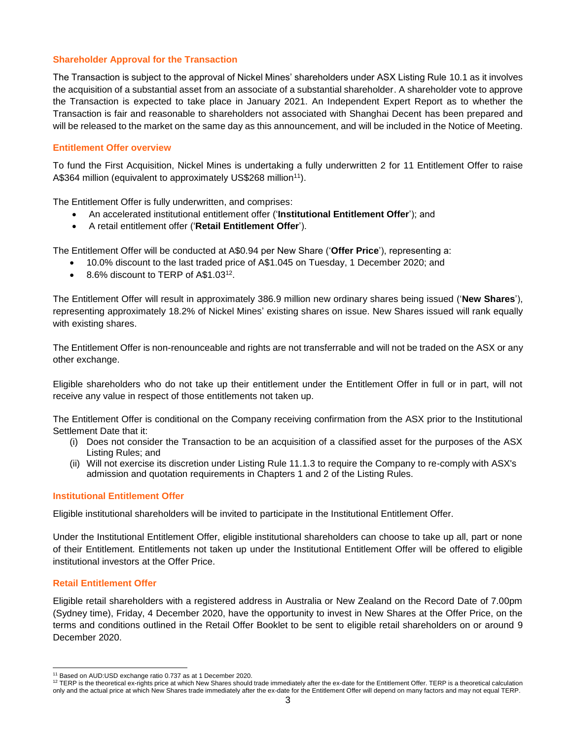## **Shareholder Approval for the Transaction**

The Transaction is subject to the approval of Nickel Mines' shareholders under ASX Listing Rule 10.1 as it involves the acquisition of a substantial asset from an associate of a substantial shareholder. A shareholder vote to approve the Transaction is expected to take place in January 2021. An Independent Expert Report as to whether the Transaction is fair and reasonable to shareholders not associated with Shanghai Decent has been prepared and will be released to the market on the same day as this announcement, and will be included in the Notice of Meeting.

## **Entitlement Offer overview**

To fund the First Acquisition, Nickel Mines is undertaking a fully underwritten 2 for 11 Entitlement Offer to raise A\$364 million (equivalent to approximately US\$268 million<sup>11</sup>).

The Entitlement Offer is fully underwritten, and comprises:

- An accelerated institutional entitlement offer ('**Institutional Entitlement Offer**'); and
- A retail entitlement offer ('**Retail Entitlement Offer**').

The Entitlement Offer will be conducted at A\$0.94 per New Share ('**Offer Price**'), representing a:

- 10.0% discount to the last traded price of A\$1.045 on Tuesday, 1 December 2020; and
- 8.6% discount to TERP of A\$1.03<sup>12</sup>.

The Entitlement Offer will result in approximately 386.9 million new ordinary shares being issued ('**New Shares**'), representing approximately 18.2% of Nickel Mines' existing shares on issue. New Shares issued will rank equally with existing shares.

The Entitlement Offer is non-renounceable and rights are not transferrable and will not be traded on the ASX or any other exchange.

Eligible shareholders who do not take up their entitlement under the Entitlement Offer in full or in part, will not receive any value in respect of those entitlements not taken up.

The Entitlement Offer is conditional on the Company receiving confirmation from the ASX prior to the Institutional Settlement Date that it:

- (i) Does not consider the Transaction to be an acquisition of a classified asset for the purposes of the ASX Listing Rules; and
- (ii) Will not exercise its discretion under Listing Rule 11.1.3 to require the Company to re-comply with ASX's admission and quotation requirements in Chapters 1 and 2 of the Listing Rules.

#### **Institutional Entitlement Offer**

Eligible institutional shareholders will be invited to participate in the Institutional Entitlement Offer.

Under the Institutional Entitlement Offer, eligible institutional shareholders can choose to take up all, part or none of their Entitlement. Entitlements not taken up under the Institutional Entitlement Offer will be offered to eligible institutional investors at the Offer Price.

#### **Retail Entitlement Offer**

Eligible retail shareholders with a registered address in Australia or New Zealand on the Record Date of 7.00pm (Sydney time), Friday, 4 December 2020, have the opportunity to invest in New Shares at the Offer Price, on the terms and conditions outlined in the Retail Offer Booklet to be sent to eligible retail shareholders on or around 9 December 2020.

l <sup>11</sup> Based on AUD:USD exchange ratio 0.737 as at 1 December 2020.

<sup>12</sup> TERP is the theoretical ex-rights price at which New Shares should trade immediately after the ex-date for the Entitlement Offer. TERP is a theoretical calculation only and the actual price at which New Shares trade immediately after the ex-date for the Entitlement Offer will depend on many factors and may not equal TERP.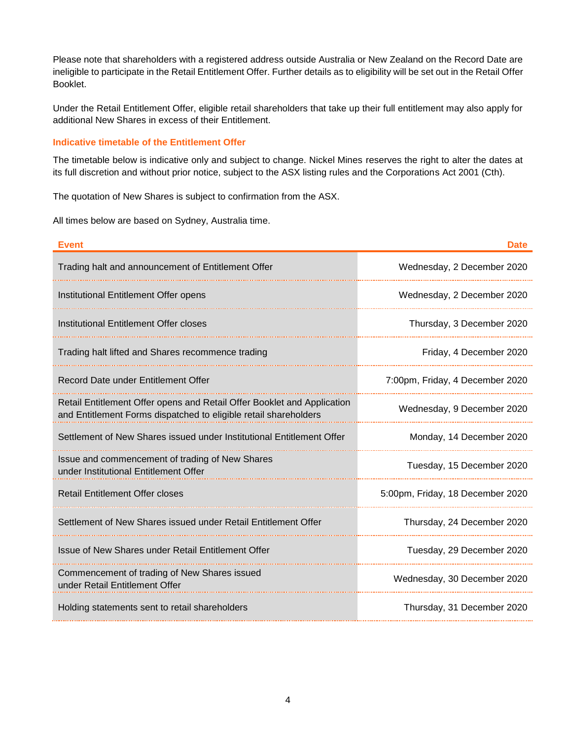Please note that shareholders with a registered address outside Australia or New Zealand on the Record Date are ineligible to participate in the Retail Entitlement Offer. Further details as to eligibility will be set out in the Retail Offer Booklet.

Under the Retail Entitlement Offer, eligible retail shareholders that take up their full entitlement may also apply for additional New Shares in excess of their Entitlement.

## **Indicative timetable of the Entitlement Offer**

The timetable below is indicative only and subject to change. Nickel Mines reserves the right to alter the dates at its full discretion and without prior notice, subject to the ASX listing rules and the Corporations Act 2001 (Cth).

The quotation of New Shares is subject to confirmation from the ASX.

All times below are based on Sydney, Australia time.

| <b>Event</b>                                                                                                                                | <b>Date</b>                      |
|---------------------------------------------------------------------------------------------------------------------------------------------|----------------------------------|
| Trading halt and announcement of Entitlement Offer                                                                                          | Wednesday, 2 December 2020       |
| Institutional Entitlement Offer opens                                                                                                       | Wednesday, 2 December 2020       |
| Institutional Entitlement Offer closes                                                                                                      | Thursday, 3 December 2020        |
| Trading halt lifted and Shares recommence trading                                                                                           | Friday, 4 December 2020          |
| Record Date under Entitlement Offer                                                                                                         | 7:00pm, Friday, 4 December 2020  |
| Retail Entitlement Offer opens and Retail Offer Booklet and Application<br>and Entitlement Forms dispatched to eligible retail shareholders | Wednesday, 9 December 2020       |
| Settlement of New Shares issued under Institutional Entitlement Offer                                                                       | Monday, 14 December 2020         |
| Issue and commencement of trading of New Shares<br>under Institutional Entitlement Offer                                                    | Tuesday, 15 December 2020        |
| <b>Retail Entitlement Offer closes</b>                                                                                                      | 5:00pm, Friday, 18 December 2020 |
| Settlement of New Shares issued under Retail Entitlement Offer                                                                              | Thursday, 24 December 2020       |
| Issue of New Shares under Retail Entitlement Offer                                                                                          | Tuesday, 29 December 2020        |
| Commencement of trading of New Shares issued<br>under Retail Entitlement Offer                                                              | Wednesday, 30 December 2020      |
| Holding statements sent to retail shareholders                                                                                              | Thursday, 31 December 2020       |